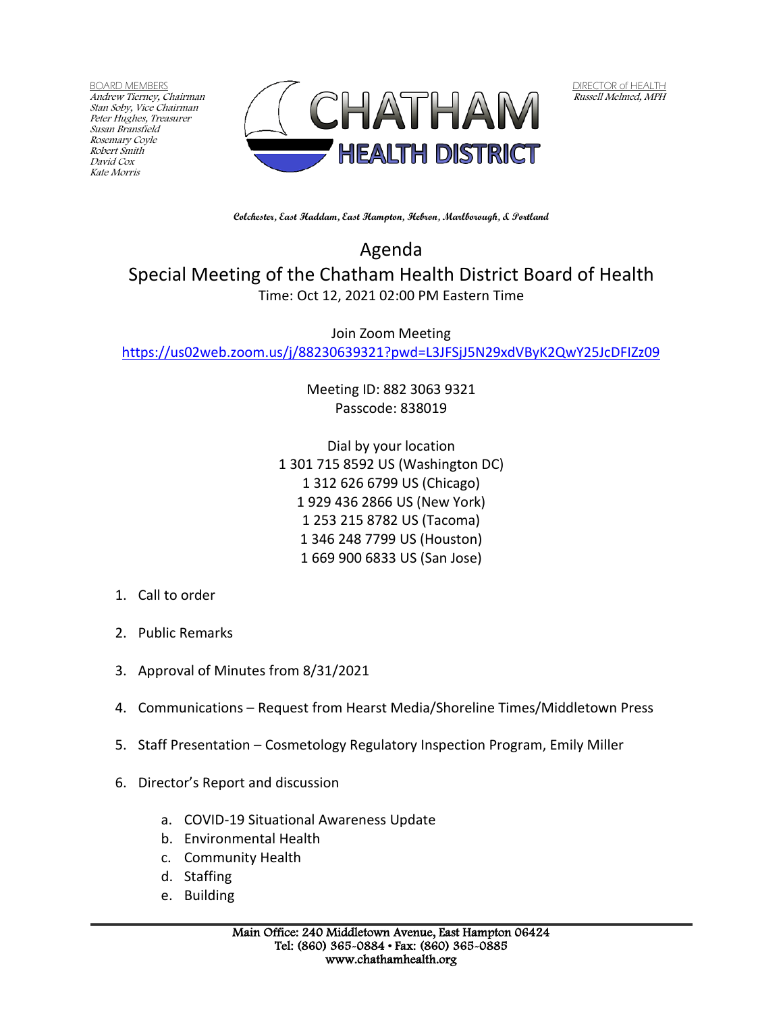BOARD MEMBERS Andrew Tierney, Chairman Stan Soby, Vice Chairman Peter Hughes, Treasurer Susan Bransfield Rosemary Coyle Robert Smith David Cox Kate Morris



DIRECTOR of HEALTH Russell Melmed, MPH

**Colchester, East Haddam, East Hampton, Hebron, Marlborough, & Portland**

Agenda Special Meeting of the Chatham Health District Board of Health Time: Oct 12, 2021 02:00 PM Eastern Time

Join Zoom Meeting <https://us02web.zoom.us/j/88230639321?pwd=L3JFSjJ5N29xdVByK2QwY25JcDFIZz09>

> Meeting ID: 882 3063 9321 Passcode: 838019

Dial by your location 1 301 715 8592 US (Washington DC) 1 312 626 6799 US (Chicago) 1 929 436 2866 US (New York) 1 253 215 8782 US (Tacoma) 1 346 248 7799 US (Houston) 1 669 900 6833 US (San Jose)

- 1. Call to order
- 2. Public Remarks
- 3. Approval of Minutes from 8/31/2021
- 4. Communications Request from Hearst Media/Shoreline Times/Middletown Press
- 5. Staff Presentation Cosmetology Regulatory Inspection Program, Emily Miller
- 6. Director's Report and discussion
	- a. COVID-19 Situational Awareness Update
	- b. Environmental Health
	- c. Community Health
	- d. Staffing
	- e. Building